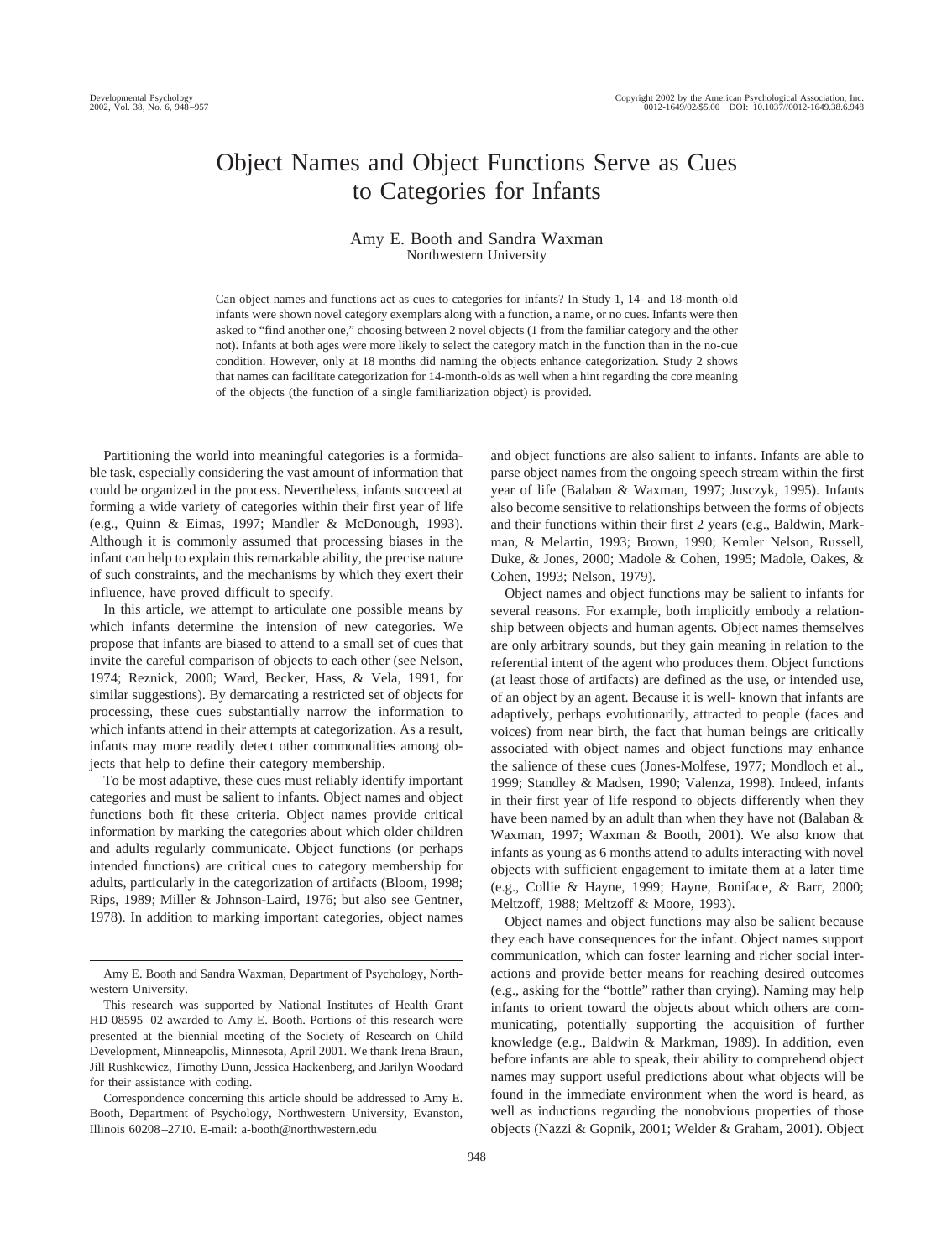# Object Names and Object Functions Serve as Cues to Categories for Infants

#### Amy E. Booth and Sandra Waxman Northwestern University

Can object names and functions act as cues to categories for infants? In Study 1, 14- and 18-month-old infants were shown novel category exemplars along with a function, a name, or no cues. Infants were then asked to "find another one," choosing between 2 novel objects (1 from the familiar category and the other not). Infants at both ages were more likely to select the category match in the function than in the no-cue condition. However, only at 18 months did naming the objects enhance categorization. Study 2 shows that names can facilitate categorization for 14-month-olds as well when a hint regarding the core meaning of the objects (the function of a single familiarization object) is provided.

Partitioning the world into meaningful categories is a formidable task, especially considering the vast amount of information that could be organized in the process. Nevertheless, infants succeed at forming a wide variety of categories within their first year of life (e.g., Quinn & Eimas, 1997; Mandler & McDonough, 1993). Although it is commonly assumed that processing biases in the infant can help to explain this remarkable ability, the precise nature of such constraints, and the mechanisms by which they exert their influence, have proved difficult to specify.

In this article, we attempt to articulate one possible means by which infants determine the intension of new categories. We propose that infants are biased to attend to a small set of cues that invite the careful comparison of objects to each other (see Nelson, 1974; Reznick, 2000; Ward, Becker, Hass, & Vela, 1991, for similar suggestions). By demarcating a restricted set of objects for processing, these cues substantially narrow the information to which infants attend in their attempts at categorization. As a result, infants may more readily detect other commonalities among objects that help to define their category membership.

To be most adaptive, these cues must reliably identify important categories and must be salient to infants. Object names and object functions both fit these criteria. Object names provide critical information by marking the categories about which older children and adults regularly communicate. Object functions (or perhaps intended functions) are critical cues to category membership for adults, particularly in the categorization of artifacts (Bloom, 1998; Rips, 1989; Miller & Johnson-Laird, 1976; but also see Gentner, 1978). In addition to marking important categories, object names and object functions are also salient to infants. Infants are able to parse object names from the ongoing speech stream within the first year of life (Balaban & Waxman, 1997; Jusczyk, 1995). Infants also become sensitive to relationships between the forms of objects and their functions within their first 2 years (e.g., Baldwin, Markman, & Melartin, 1993; Brown, 1990; Kemler Nelson, Russell, Duke, & Jones, 2000; Madole & Cohen, 1995; Madole, Oakes, & Cohen, 1993; Nelson, 1979).

Object names and object functions may be salient to infants for several reasons. For example, both implicitly embody a relationship between objects and human agents. Object names themselves are only arbitrary sounds, but they gain meaning in relation to the referential intent of the agent who produces them. Object functions (at least those of artifacts) are defined as the use, or intended use, of an object by an agent. Because it is well- known that infants are adaptively, perhaps evolutionarily, attracted to people (faces and voices) from near birth, the fact that human beings are critically associated with object names and object functions may enhance the salience of these cues (Jones-Molfese, 1977; Mondloch et al., 1999; Standley & Madsen, 1990; Valenza, 1998). Indeed, infants in their first year of life respond to objects differently when they have been named by an adult than when they have not (Balaban & Waxman, 1997; Waxman & Booth, 2001). We also know that infants as young as 6 months attend to adults interacting with novel objects with sufficient engagement to imitate them at a later time (e.g., Collie & Hayne, 1999; Hayne, Boniface, & Barr, 2000; Meltzoff, 1988; Meltzoff & Moore, 1993).

Object names and object functions may also be salient because they each have consequences for the infant. Object names support communication, which can foster learning and richer social interactions and provide better means for reaching desired outcomes (e.g., asking for the "bottle" rather than crying). Naming may help infants to orient toward the objects about which others are communicating, potentially supporting the acquisition of further knowledge (e.g., Baldwin & Markman, 1989). In addition, even before infants are able to speak, their ability to comprehend object names may support useful predictions about what objects will be found in the immediate environment when the word is heard, as well as inductions regarding the nonobvious properties of those objects (Nazzi & Gopnik, 2001; Welder & Graham, 2001). Object

Amy E. Booth and Sandra Waxman, Department of Psychology, Northwestern University.

This research was supported by National Institutes of Health Grant HD-08595–02 awarded to Amy E. Booth. Portions of this research were presented at the biennial meeting of the Society of Research on Child Development, Minneapolis, Minnesota, April 2001. We thank Irena Braun, Jill Rushkewicz, Timothy Dunn, Jessica Hackenberg, and Jarilyn Woodard for their assistance with coding.

Correspondence concerning this article should be addressed to Amy E. Booth, Department of Psychology, Northwestern University, Evanston, Illinois 60208–2710. E-mail: a-booth@northwestern.edu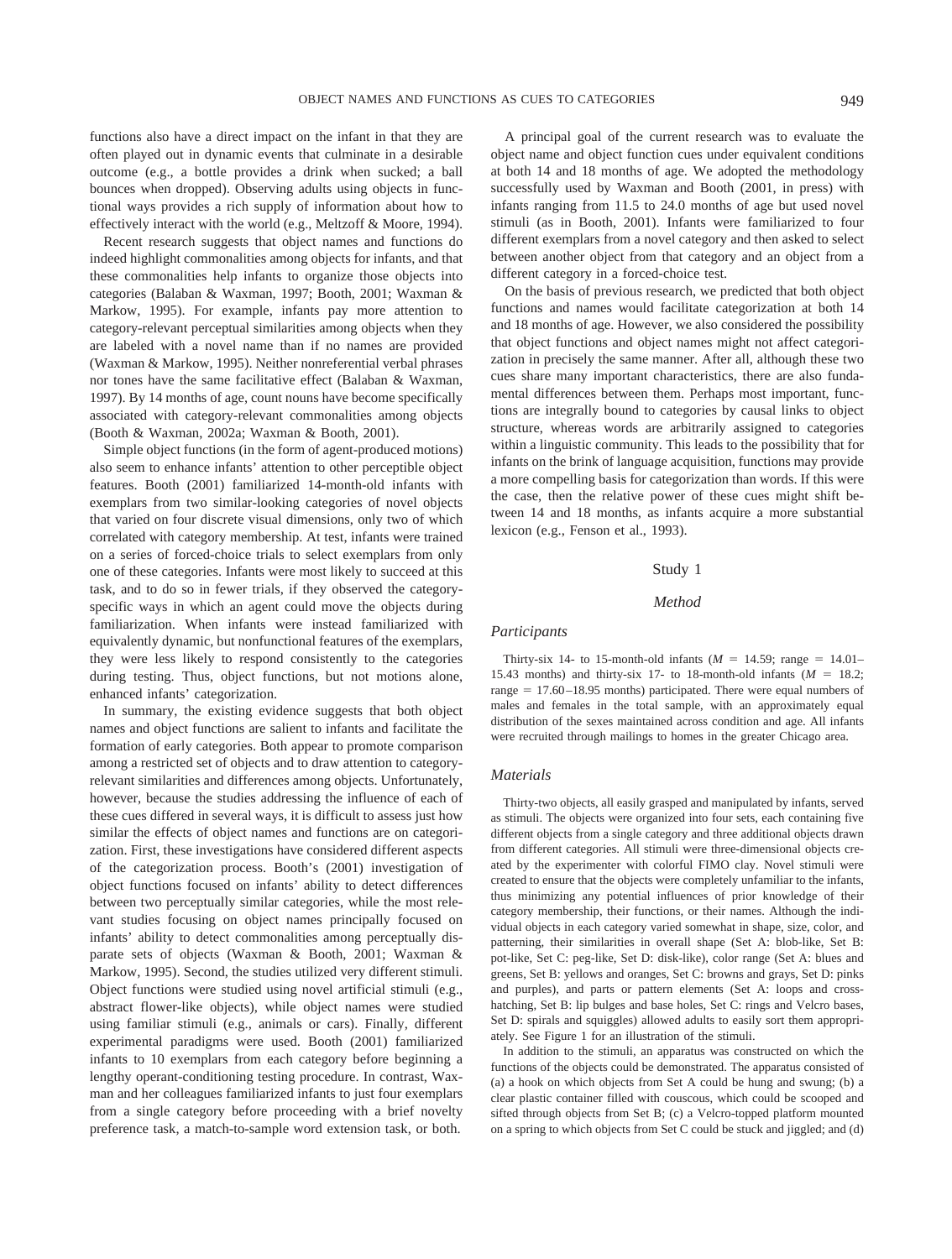functions also have a direct impact on the infant in that they are often played out in dynamic events that culminate in a desirable outcome (e.g., a bottle provides a drink when sucked; a ball bounces when dropped). Observing adults using objects in functional ways provides a rich supply of information about how to effectively interact with the world (e.g., Meltzoff & Moore, 1994).

Recent research suggests that object names and functions do indeed highlight commonalities among objects for infants, and that these commonalities help infants to organize those objects into categories (Balaban & Waxman, 1997; Booth, 2001; Waxman & Markow, 1995). For example, infants pay more attention to category-relevant perceptual similarities among objects when they are labeled with a novel name than if no names are provided (Waxman & Markow, 1995). Neither nonreferential verbal phrases nor tones have the same facilitative effect (Balaban & Waxman, 1997). By 14 months of age, count nouns have become specifically associated with category-relevant commonalities among objects (Booth & Waxman, 2002a; Waxman & Booth, 2001).

Simple object functions (in the form of agent-produced motions) also seem to enhance infants' attention to other perceptible object features. Booth (2001) familiarized 14-month-old infants with exemplars from two similar-looking categories of novel objects that varied on four discrete visual dimensions, only two of which correlated with category membership. At test, infants were trained on a series of forced-choice trials to select exemplars from only one of these categories. Infants were most likely to succeed at this task, and to do so in fewer trials, if they observed the categoryspecific ways in which an agent could move the objects during familiarization. When infants were instead familiarized with equivalently dynamic, but nonfunctional features of the exemplars, they were less likely to respond consistently to the categories during testing. Thus, object functions, but not motions alone, enhanced infants' categorization.

In summary, the existing evidence suggests that both object names and object functions are salient to infants and facilitate the formation of early categories. Both appear to promote comparison among a restricted set of objects and to draw attention to categoryrelevant similarities and differences among objects. Unfortunately, however, because the studies addressing the influence of each of these cues differed in several ways, it is difficult to assess just how similar the effects of object names and functions are on categorization. First, these investigations have considered different aspects of the categorization process. Booth's (2001) investigation of object functions focused on infants' ability to detect differences between two perceptually similar categories, while the most relevant studies focusing on object names principally focused on infants' ability to detect commonalities among perceptually disparate sets of objects (Waxman & Booth, 2001; Waxman & Markow, 1995). Second, the studies utilized very different stimuli. Object functions were studied using novel artificial stimuli (e.g., abstract flower-like objects), while object names were studied using familiar stimuli (e.g., animals or cars). Finally, different experimental paradigms were used. Booth (2001) familiarized infants to 10 exemplars from each category before beginning a lengthy operant-conditioning testing procedure. In contrast, Waxman and her colleagues familiarized infants to just four exemplars from a single category before proceeding with a brief novelty preference task, a match-to-sample word extension task, or both.

A principal goal of the current research was to evaluate the object name and object function cues under equivalent conditions at both 14 and 18 months of age. We adopted the methodology successfully used by Waxman and Booth (2001, in press) with infants ranging from 11.5 to 24.0 months of age but used novel stimuli (as in Booth, 2001). Infants were familiarized to four different exemplars from a novel category and then asked to select between another object from that category and an object from a different category in a forced-choice test.

On the basis of previous research, we predicted that both object functions and names would facilitate categorization at both 14 and 18 months of age. However, we also considered the possibility that object functions and object names might not affect categorization in precisely the same manner. After all, although these two cues share many important characteristics, there are also fundamental differences between them. Perhaps most important, functions are integrally bound to categories by causal links to object structure, whereas words are arbitrarily assigned to categories within a linguistic community. This leads to the possibility that for infants on the brink of language acquisition, functions may provide a more compelling basis for categorization than words. If this were the case, then the relative power of these cues might shift between 14 and 18 months, as infants acquire a more substantial lexicon (e.g., Fenson et al., 1993).

# Study 1

# *Method*

### *Participants*

Thirty-six 14- to 15-month-old infants  $(M = 14.59;$  range  $= 14.01-$ 15.43 months) and thirty-six 17- to 18-month-old infants  $(M = 18.2;$ range  $= 17.60 - 18.95$  months) participated. There were equal numbers of males and females in the total sample, with an approximately equal distribution of the sexes maintained across condition and age. All infants were recruited through mailings to homes in the greater Chicago area.

# *Materials*

Thirty-two objects, all easily grasped and manipulated by infants, served as stimuli. The objects were organized into four sets, each containing five different objects from a single category and three additional objects drawn from different categories. All stimuli were three-dimensional objects created by the experimenter with colorful FIMO clay. Novel stimuli were created to ensure that the objects were completely unfamiliar to the infants, thus minimizing any potential influences of prior knowledge of their category membership, their functions, or their names. Although the individual objects in each category varied somewhat in shape, size, color, and patterning, their similarities in overall shape (Set A: blob-like, Set B: pot-like, Set C: peg-like, Set D: disk-like), color range (Set A: blues and greens, Set B: yellows and oranges, Set C: browns and grays, Set D: pinks and purples), and parts or pattern elements (Set A: loops and crosshatching, Set B: lip bulges and base holes, Set C: rings and Velcro bases, Set D: spirals and squiggles) allowed adults to easily sort them appropriately. See Figure 1 for an illustration of the stimuli.

In addition to the stimuli, an apparatus was constructed on which the functions of the objects could be demonstrated. The apparatus consisted of (a) a hook on which objects from Set A could be hung and swung; (b) a clear plastic container filled with couscous, which could be scooped and sifted through objects from Set B; (c) a Velcro-topped platform mounted on a spring to which objects from Set C could be stuck and jiggled; and (d)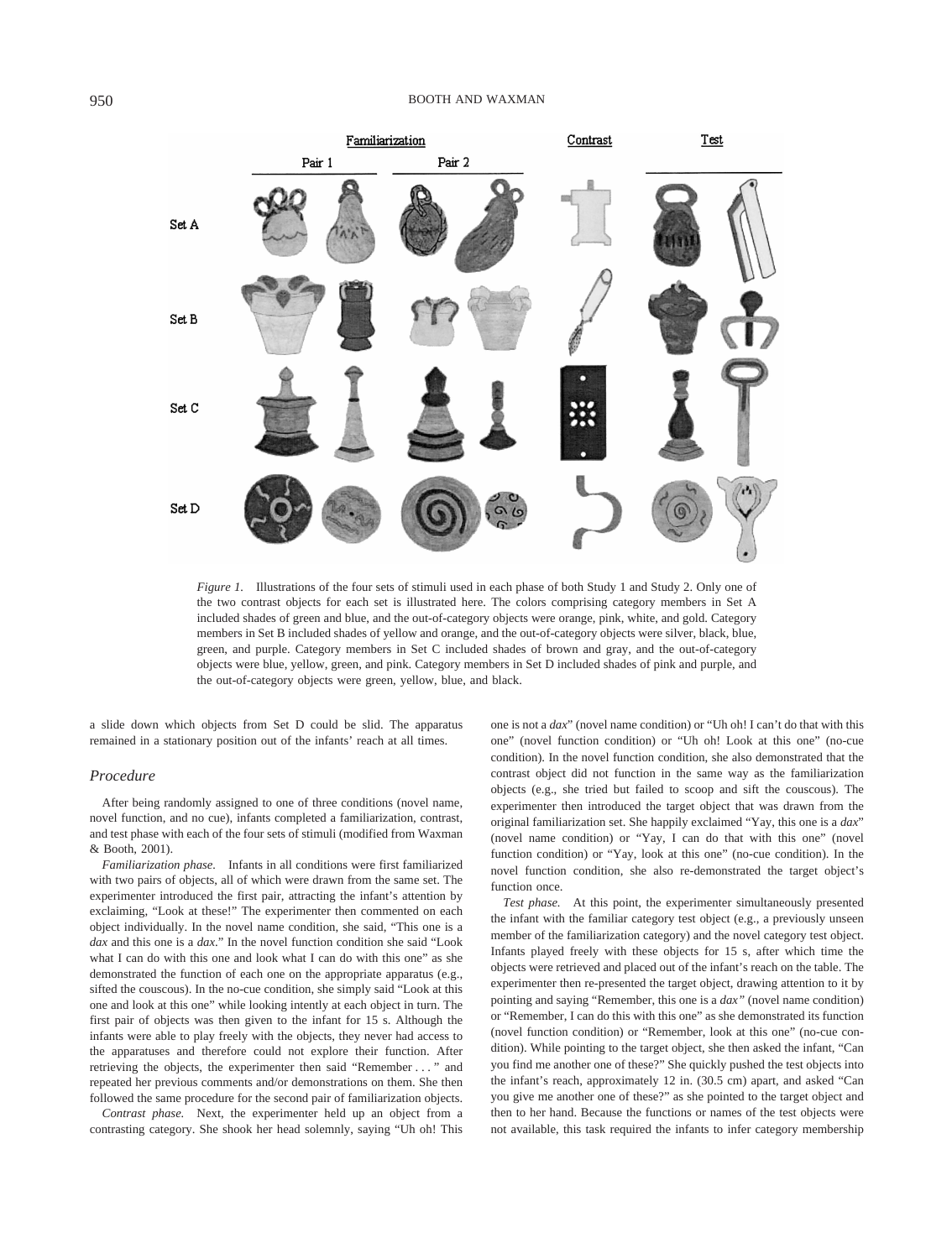Test Familiarization Contrast Pair 1 Pair 2 Set A Set B Set C Set D

*Figure 1.* Illustrations of the four sets of stimuli used in each phase of both Study 1 and Study 2. Only one of the two contrast objects for each set is illustrated here. The colors comprising category members in Set A included shades of green and blue, and the out-of-category objects were orange, pink, white, and gold. Category members in Set B included shades of yellow and orange, and the out-of-category objects were silver, black, blue, green, and purple. Category members in Set C included shades of brown and gray, and the out-of-category objects were blue, yellow, green, and pink. Category members in Set D included shades of pink and purple, and the out-of-category objects were green, yellow, blue, and black.

a slide down which objects from Set D could be slid. The apparatus remained in a stationary position out of the infants' reach at all times.

#### *Procedure*

After being randomly assigned to one of three conditions (novel name, novel function, and no cue), infants completed a familiarization, contrast, and test phase with each of the four sets of stimuli (modified from Waxman & Booth, 2001).

*Familiarization phase.* Infants in all conditions were first familiarized with two pairs of objects, all of which were drawn from the same set. The experimenter introduced the first pair, attracting the infant's attention by exclaiming, "Look at these!" The experimenter then commented on each object individually. In the novel name condition, she said, "This one is a *dax* and this one is a *dax*." In the novel function condition she said "Look what I can do with this one and look what I can do with this one" as she demonstrated the function of each one on the appropriate apparatus (e.g., sifted the couscous). In the no-cue condition, she simply said "Look at this one and look at this one" while looking intently at each object in turn. The first pair of objects was then given to the infant for 15 s. Although the infants were able to play freely with the objects, they never had access to the apparatuses and therefore could not explore their function. After retrieving the objects, the experimenter then said "Remember... " and repeated her previous comments and/or demonstrations on them. She then followed the same procedure for the second pair of familiarization objects.

*Contrast phase.* Next, the experimenter held up an object from a contrasting category. She shook her head solemnly, saying "Uh oh! This one is not a *dax*" (novel name condition) or "Uh oh! I can't do that with this one" (novel function condition) or "Uh oh! Look at this one" (no-cue condition). In the novel function condition, she also demonstrated that the contrast object did not function in the same way as the familiarization objects (e.g., she tried but failed to scoop and sift the couscous). The experimenter then introduced the target object that was drawn from the original familiarization set. She happily exclaimed "Yay, this one is a *dax*" (novel name condition) or "Yay, I can do that with this one" (novel function condition) or "Yay, look at this one" (no-cue condition). In the novel function condition, she also re-demonstrated the target object's function once.

*Test phase.* At this point, the experimenter simultaneously presented the infant with the familiar category test object (e.g., a previously unseen member of the familiarization category) and the novel category test object. Infants played freely with these objects for 15 s, after which time the objects were retrieved and placed out of the infant's reach on the table. The experimenter then re-presented the target object, drawing attention to it by pointing and saying "Remember, this one is a *dax"* (novel name condition) or "Remember, I can do this with this one" as she demonstrated its function (novel function condition) or "Remember, look at this one" (no-cue condition). While pointing to the target object, she then asked the infant, "Can you find me another one of these?" She quickly pushed the test objects into the infant's reach, approximately 12 in. (30.5 cm) apart, and asked "Can you give me another one of these?" as she pointed to the target object and then to her hand. Because the functions or names of the test objects were not available, this task required the infants to infer category membership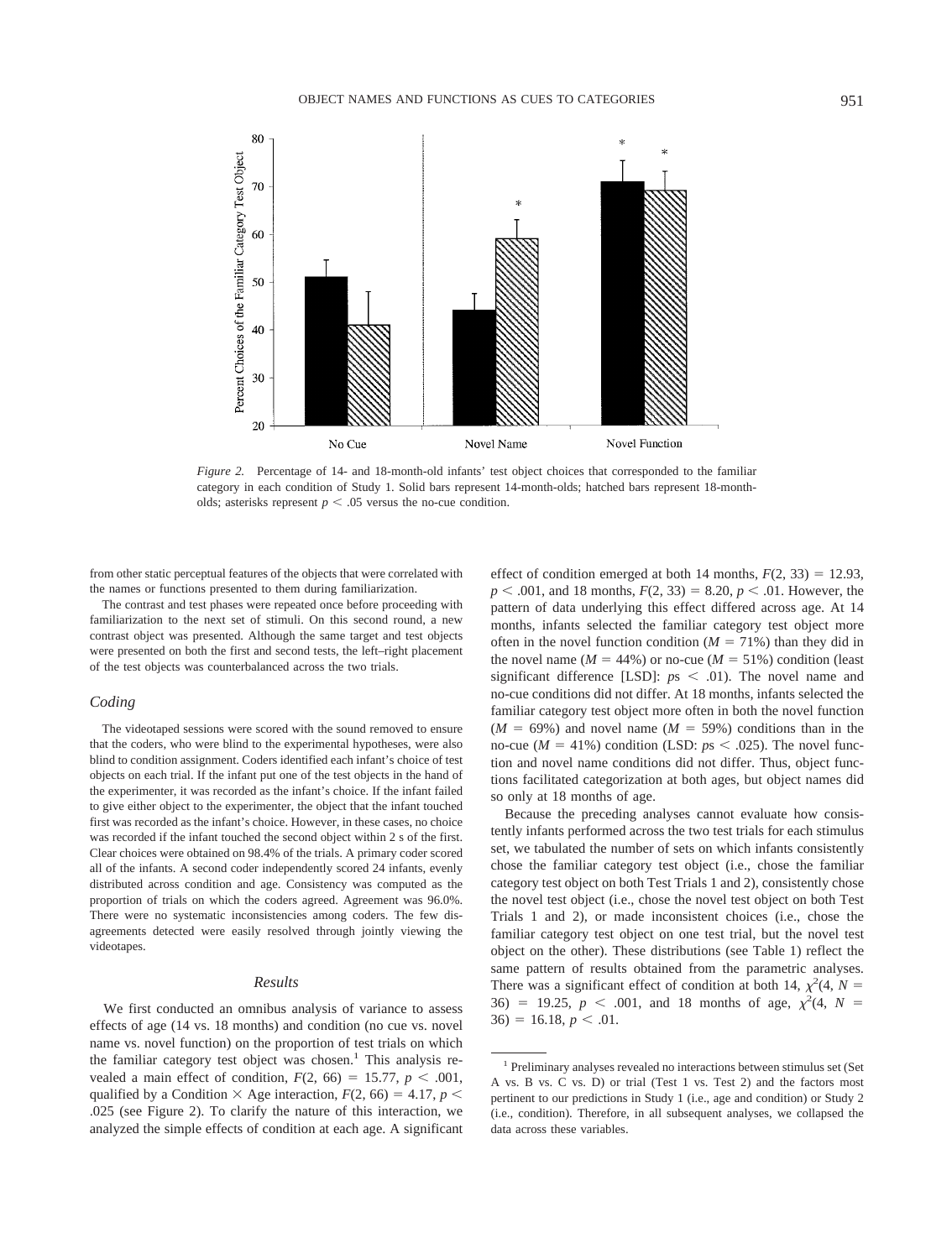

*Figure 2.* Percentage of 14- and 18-month-old infants' test object choices that corresponded to the familiar category in each condition of Study 1. Solid bars represent 14-month-olds; hatched bars represent 18-montholds; asterisks represent  $p < .05$  versus the no-cue condition.

from other static perceptual features of the objects that were correlated with the names or functions presented to them during familiarization.

The contrast and test phases were repeated once before proceeding with familiarization to the next set of stimuli. On this second round, a new contrast object was presented. Although the same target and test objects were presented on both the first and second tests, the left–right placement of the test objects was counterbalanced across the two trials.

# *Coding*

The videotaped sessions were scored with the sound removed to ensure that the coders, who were blind to the experimental hypotheses, were also blind to condition assignment. Coders identified each infant's choice of test objects on each trial. If the infant put one of the test objects in the hand of the experimenter, it was recorded as the infant's choice. If the infant failed to give either object to the experimenter, the object that the infant touched first was recorded as the infant's choice. However, in these cases, no choice was recorded if the infant touched the second object within 2 s of the first. Clear choices were obtained on 98.4% of the trials. A primary coder scored all of the infants. A second coder independently scored 24 infants, evenly distributed across condition and age. Consistency was computed as the proportion of trials on which the coders agreed. Agreement was 96.0%. There were no systematic inconsistencies among coders. The few disagreements detected were easily resolved through jointly viewing the videotapes.

#### *Results*

We first conducted an omnibus analysis of variance to assess effects of age (14 vs. 18 months) and condition (no cue vs. novel name vs. novel function) on the proportion of test trials on which the familiar category test object was chosen.<sup>1</sup> This analysis revealed a main effect of condition,  $F(2, 66) = 15.77$ ,  $p < .001$ , qualified by a Condition  $\times$  Age interaction,  $F(2, 66) = 4.17$ ,  $p \le$ .025 (see Figure 2). To clarify the nature of this interaction, we analyzed the simple effects of condition at each age. A significant effect of condition emerged at both 14 months,  $F(2, 33) = 12.93$ ,  $p < .001$ , and 18 months,  $F(2, 33) = 8.20, p < .01$ . However, the pattern of data underlying this effect differed across age. At 14 months, infants selected the familiar category test object more often in the novel function condition  $(M = 71\%)$  than they did in the novel name  $(M = 44\%)$  or no-cue  $(M = 51\%)$  condition (least significant difference [LSD]:  $ps < .01$ ). The novel name and no-cue conditions did not differ. At 18 months, infants selected the familiar category test object more often in both the novel function  $(M = 69\%)$  and novel name  $(M = 59\%)$  conditions than in the no-cue ( $M = 41\%$ ) condition (LSD:  $ps < .025$ ). The novel function and novel name conditions did not differ. Thus, object functions facilitated categorization at both ages, but object names did so only at 18 months of age.

Because the preceding analyses cannot evaluate how consistently infants performed across the two test trials for each stimulus set, we tabulated the number of sets on which infants consistently chose the familiar category test object (i.e., chose the familiar category test object on both Test Trials 1 and 2), consistently chose the novel test object (i.e., chose the novel test object on both Test Trials 1 and 2), or made inconsistent choices (i.e., chose the familiar category test object on one test trial, but the novel test object on the other). These distributions (see Table 1) reflect the same pattern of results obtained from the parametric analyses. There was a significant effect of condition at both 14,  $\chi^2$  (4, *N* = 36) = 19.25,  $p < .001$ , and 18 months of age,  $\chi^2(4, N =$  $36) = 16.18, p < .01.$ 

 $^{\rm 1}$  Preliminary analyses revealed no interactions between stimulus set (Set A vs. B vs. C vs. D) or trial (Test 1 vs. Test 2) and the factors most pertinent to our predictions in Study 1 (i.e., age and condition) or Study 2 (i.e., condition). Therefore, in all subsequent analyses, we collapsed the data across these variables.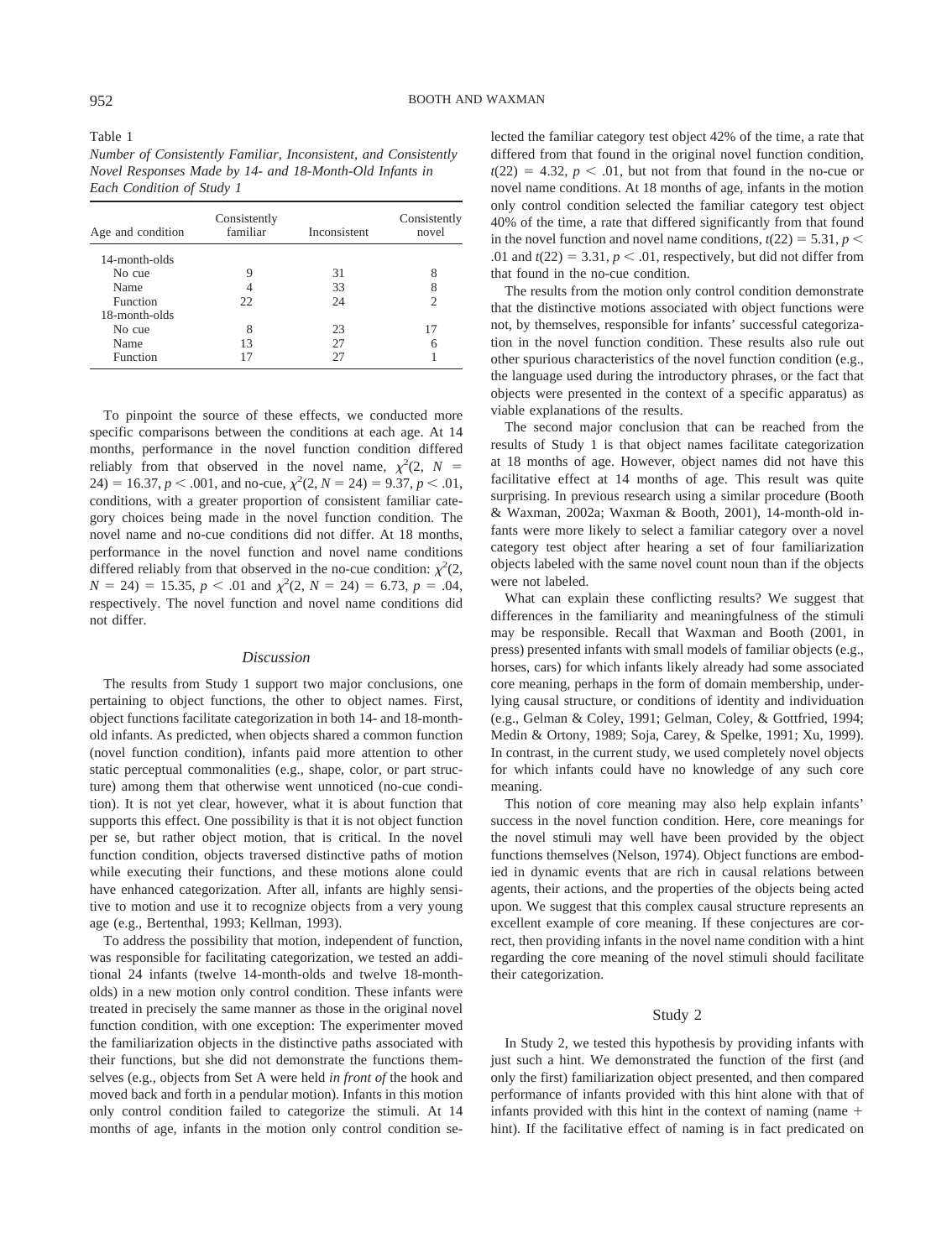#### Table 1

*Number of Consistently Familiar, Inconsistent, and Consistently Novel Responses Made by 14- and 18-Month-Old Infants in Each Condition of Study 1*

| Age and condition | Consistently<br>familiar | Inconsistent | Consistently<br>novel |
|-------------------|--------------------------|--------------|-----------------------|
| 14-month-olds     |                          |              |                       |
| No cue            | 9                        | 31           | 8                     |
| Name              |                          | 33           | 8                     |
| Function          | 22                       | 24           | 2                     |
| 18-month-olds     |                          |              |                       |
| No cue            | 8                        | 23           | 17                    |
| Name              | 13                       | 27           | 6                     |
| Function          |                          | 27           |                       |

To pinpoint the source of these effects, we conducted more specific comparisons between the conditions at each age. At 14 months, performance in the novel function condition differed reliably from that observed in the novel name,  $\chi^2(2, N =$  $24$ ) = 16.37, *p* < .001, and no-cue,  $\chi^2(2, N = 24) = 9.37, p < .01$ , conditions, with a greater proportion of consistent familiar category choices being made in the novel function condition. The novel name and no-cue conditions did not differ. At 18 months, performance in the novel function and novel name conditions differed reliably from that observed in the no-cue condition:  $\chi^2(2, \mathcal{C})$  $N = 24$ ) = 15.35,  $p < .01$  and  $\chi^2(2, N = 24) = 6.73$ ,  $p = .04$ , respectively. The novel function and novel name conditions did not differ.

#### *Discussion*

The results from Study 1 support two major conclusions, one pertaining to object functions, the other to object names. First, object functions facilitate categorization in both 14- and 18-monthold infants. As predicted, when objects shared a common function (novel function condition), infants paid more attention to other static perceptual commonalities (e.g., shape, color, or part structure) among them that otherwise went unnoticed (no-cue condition). It is not yet clear, however, what it is about function that supports this effect. One possibility is that it is not object function per se, but rather object motion, that is critical. In the novel function condition, objects traversed distinctive paths of motion while executing their functions, and these motions alone could have enhanced categorization. After all, infants are highly sensitive to motion and use it to recognize objects from a very young age (e.g., Bertenthal, 1993; Kellman, 1993).

To address the possibility that motion, independent of function, was responsible for facilitating categorization, we tested an additional 24 infants (twelve 14-month-olds and twelve 18-montholds) in a new motion only control condition. These infants were treated in precisely the same manner as those in the original novel function condition, with one exception: The experimenter moved the familiarization objects in the distinctive paths associated with their functions, but she did not demonstrate the functions themselves (e.g., objects from Set A were held *in front of* the hook and moved back and forth in a pendular motion). Infants in this motion only control condition failed to categorize the stimuli. At 14 months of age, infants in the motion only control condition selected the familiar category test object 42% of the time, a rate that differed from that found in the original novel function condition,  $t(22) = 4.32$ ,  $p < .01$ , but not from that found in the no-cue or novel name conditions. At 18 months of age, infants in the motion only control condition selected the familiar category test object 40% of the time, a rate that differed significantly from that found in the novel function and novel name conditions,  $t(22) = 5.31, p <$ .01 and  $t(22) = 3.31, p < .01$ , respectively, but did not differ from that found in the no-cue condition.

The results from the motion only control condition demonstrate that the distinctive motions associated with object functions were not, by themselves, responsible for infants' successful categorization in the novel function condition. These results also rule out other spurious characteristics of the novel function condition (e.g., the language used during the introductory phrases, or the fact that objects were presented in the context of a specific apparatus) as viable explanations of the results.

The second major conclusion that can be reached from the results of Study 1 is that object names facilitate categorization at 18 months of age. However, object names did not have this facilitative effect at 14 months of age. This result was quite surprising. In previous research using a similar procedure (Booth & Waxman, 2002a; Waxman & Booth, 2001), 14-month-old infants were more likely to select a familiar category over a novel category test object after hearing a set of four familiarization objects labeled with the same novel count noun than if the objects were not labeled.

What can explain these conflicting results? We suggest that differences in the familiarity and meaningfulness of the stimuli may be responsible. Recall that Waxman and Booth (2001, in press) presented infants with small models of familiar objects (e.g., horses, cars) for which infants likely already had some associated core meaning, perhaps in the form of domain membership, underlying causal structure, or conditions of identity and individuation (e.g., Gelman & Coley, 1991; Gelman, Coley, & Gottfried, 1994; Medin & Ortony, 1989; Soja, Carey, & Spelke, 1991; Xu, 1999). In contrast, in the current study, we used completely novel objects for which infants could have no knowledge of any such core meaning.

This notion of core meaning may also help explain infants' success in the novel function condition. Here, core meanings for the novel stimuli may well have been provided by the object functions themselves (Nelson, 1974). Object functions are embodied in dynamic events that are rich in causal relations between agents, their actions, and the properties of the objects being acted upon. We suggest that this complex causal structure represents an excellent example of core meaning. If these conjectures are correct, then providing infants in the novel name condition with a hint regarding the core meaning of the novel stimuli should facilitate their categorization.

# Study 2

In Study 2, we tested this hypothesis by providing infants with just such a hint. We demonstrated the function of the first (and only the first) familiarization object presented, and then compared performance of infants provided with this hint alone with that of infants provided with this hint in the context of naming (name  $+$ hint). If the facilitative effect of naming is in fact predicated on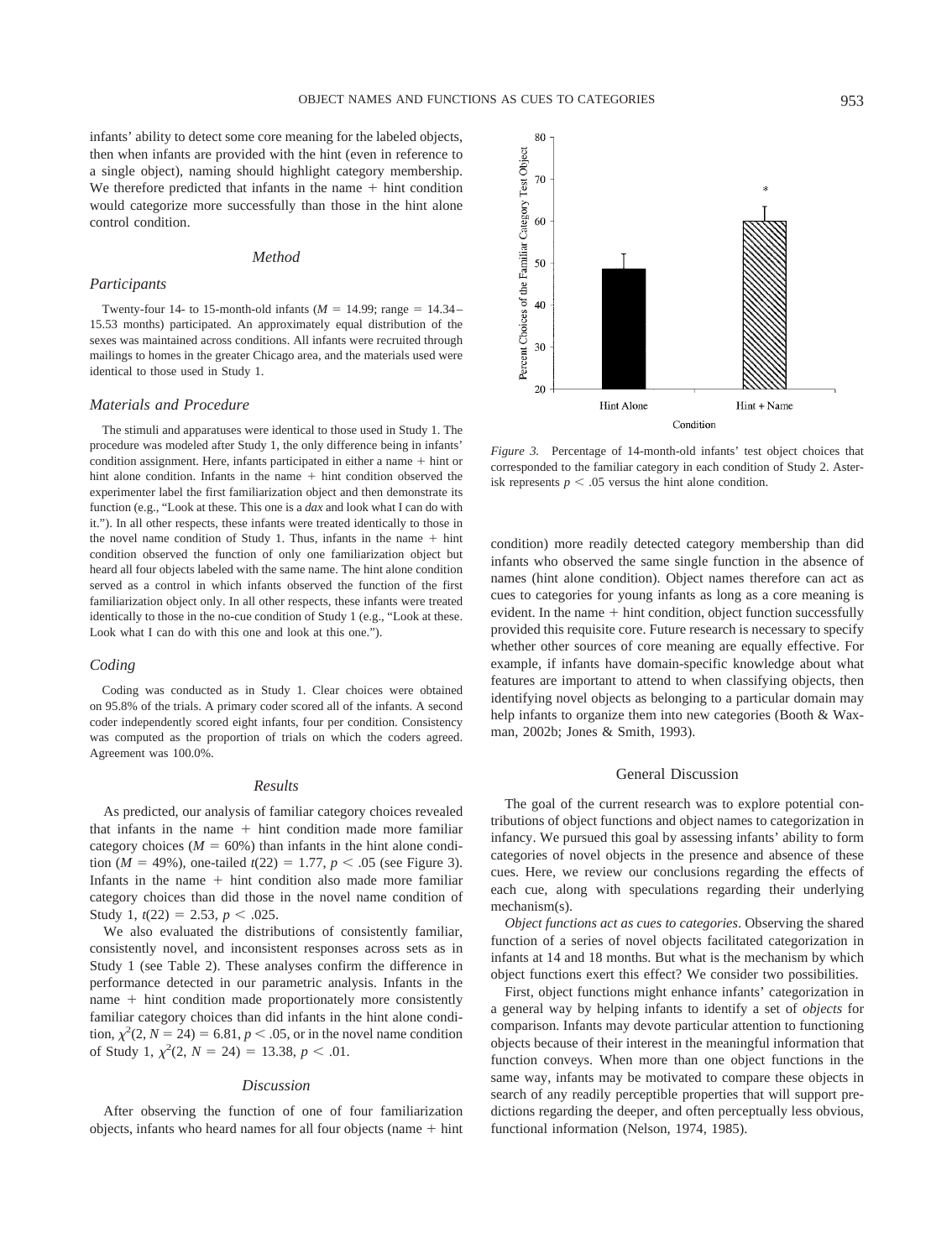infants' ability to detect some core meaning for the labeled objects, then when infants are provided with the hint (even in reference to a single object), naming should highlight category membership. We therefore predicted that infants in the name  $+$  hint condition would categorize more successfully than those in the hint alone control condition.

# *Method*

#### *Participants*

Twenty-four 14- to 15-month-old infants  $(M = 14.99)$ ; range = 14.34– 15.53 months) participated. An approximately equal distribution of the sexes was maintained across conditions. All infants were recruited through mailings to homes in the greater Chicago area, and the materials used were identical to those used in Study 1.

#### *Materials and Procedure*

The stimuli and apparatuses were identical to those used in Study 1. The procedure was modeled after Study 1, the only difference being in infants' condition assignment. Here, infants participated in either a name  $+$  hint or hint alone condition. Infants in the name  $+$  hint condition observed the experimenter label the first familiarization object and then demonstrate its function (e.g., "Look at these. This one is a *dax* and look what I can do with it."). In all other respects, these infants were treated identically to those in the novel name condition of Study 1. Thus, infants in the name  $+$  hint condition observed the function of only one familiarization object but heard all four objects labeled with the same name. The hint alone condition served as a control in which infants observed the function of the first familiarization object only. In all other respects, these infants were treated identically to those in the no-cue condition of Study 1 (e.g., "Look at these. Look what I can do with this one and look at this one.").

### *Coding*

Coding was conducted as in Study 1. Clear choices were obtained on 95.8% of the trials. A primary coder scored all of the infants. A second coder independently scored eight infants, four per condition. Consistency was computed as the proportion of trials on which the coders agreed. Agreement was 100.0%.

#### *Results*

As predicted, our analysis of familiar category choices revealed that infants in the name  $+$  hint condition made more familiar category choices ( $M = 60\%$ ) than infants in the hint alone condition (*M* = 49%), one-tailed  $t(22) = 1.77$ ,  $p < .05$  (see Figure 3). Infants in the name  $+$  hint condition also made more familiar category choices than did those in the novel name condition of Study 1,  $t(22) = 2.53$ ,  $p < .025$ .

We also evaluated the distributions of consistently familiar, consistently novel, and inconsistent responses across sets as in Study 1 (see Table 2). These analyses confirm the difference in performance detected in our parametric analysis. Infants in the name  $+$  hint condition made proportionately more consistently familiar category choices than did infants in the hint alone condition,  $\chi^2(2, N = 24) = 6.81, p < .05$ , or in the novel name condition of Study 1,  $\chi^2(2, N = 24) = 13.38, p < .01$ .

#### *Discussion*

After observing the function of one of four familiarization objects, infants who heard names for all four objects (name  $+$  hint



*Figure 3.* Percentage of 14-month-old infants' test object choices that corresponded to the familiar category in each condition of Study 2. Asterisk represents  $p < .05$  versus the hint alone condition.

condition) more readily detected category membership than did infants who observed the same single function in the absence of names (hint alone condition). Object names therefore can act as cues to categories for young infants as long as a core meaning is evident. In the name  $+$  hint condition, object function successfully provided this requisite core. Future research is necessary to specify whether other sources of core meaning are equally effective. For example, if infants have domain-specific knowledge about what features are important to attend to when classifying objects, then identifying novel objects as belonging to a particular domain may help infants to organize them into new categories (Booth & Waxman, 2002b; Jones & Smith, 1993).

# General Discussion

The goal of the current research was to explore potential contributions of object functions and object names to categorization in infancy. We pursued this goal by assessing infants' ability to form categories of novel objects in the presence and absence of these cues. Here, we review our conclusions regarding the effects of each cue, along with speculations regarding their underlying mechanism(s).

*Object functions act as cues to categories*. Observing the shared function of a series of novel objects facilitated categorization in infants at 14 and 18 months. But what is the mechanism by which object functions exert this effect? We consider two possibilities.

First, object functions might enhance infants' categorization in a general way by helping infants to identify a set of *objects* for comparison. Infants may devote particular attention to functioning objects because of their interest in the meaningful information that function conveys. When more than one object functions in the same way, infants may be motivated to compare these objects in search of any readily perceptible properties that will support predictions regarding the deeper, and often perceptually less obvious, functional information (Nelson, 1974, 1985).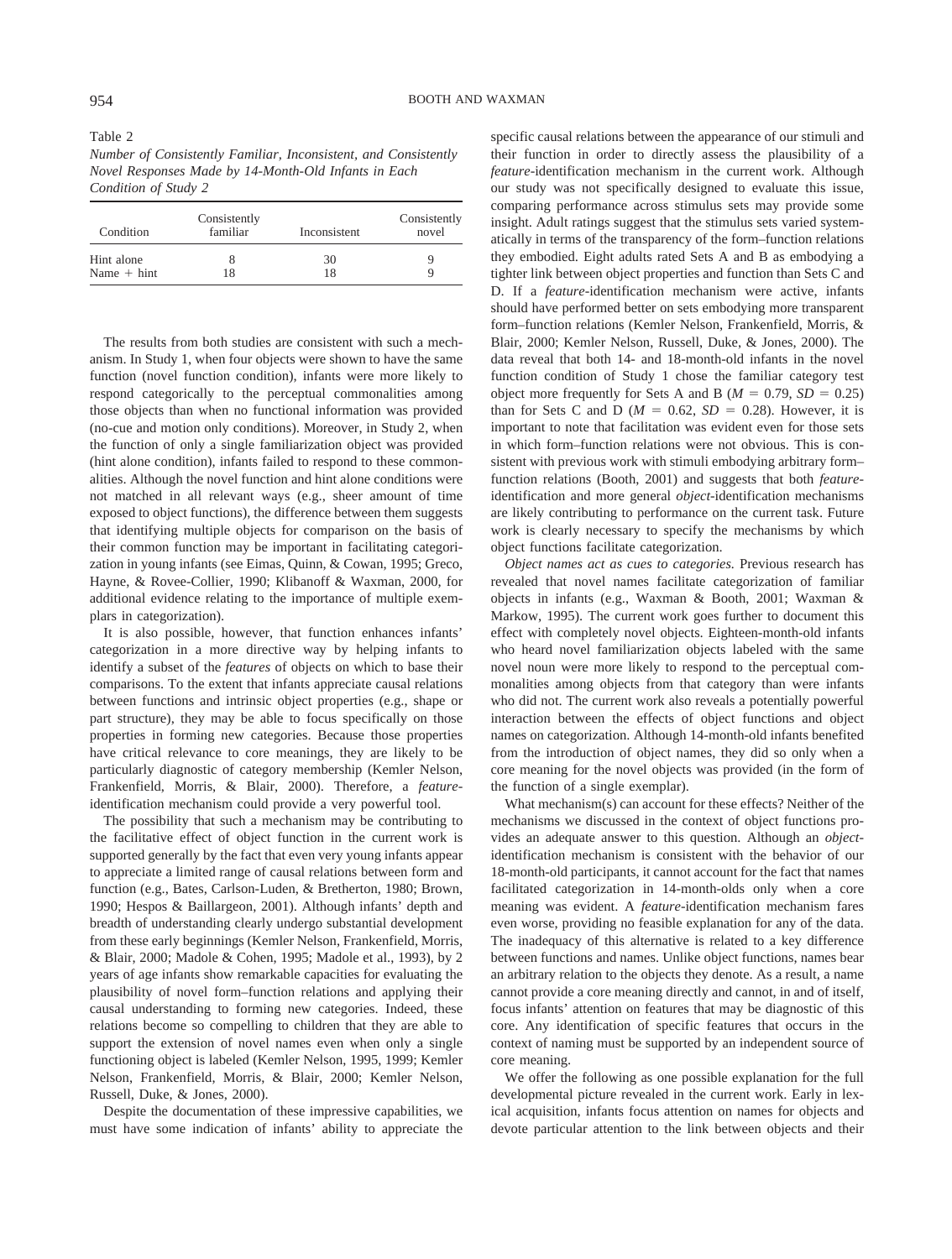Table 2

*Number of Consistently Familiar, Inconsistent, and Consistently Novel Responses Made by 14-Month-Old Infants in Each Condition of Study 2*

| Condition     | Consistently<br>familiar | Inconsistent | Consistently<br>novel |
|---------------|--------------------------|--------------|-----------------------|
| Hint alone    |                          | 30           |                       |
| Name $+$ hint | 18                       | 18           |                       |

The results from both studies are consistent with such a mechanism. In Study 1, when four objects were shown to have the same function (novel function condition), infants were more likely to respond categorically to the perceptual commonalities among those objects than when no functional information was provided (no-cue and motion only conditions). Moreover, in Study 2, when the function of only a single familiarization object was provided (hint alone condition), infants failed to respond to these commonalities. Although the novel function and hint alone conditions were not matched in all relevant ways (e.g., sheer amount of time exposed to object functions), the difference between them suggests that identifying multiple objects for comparison on the basis of their common function may be important in facilitating categorization in young infants (see Eimas, Quinn, & Cowan, 1995; Greco, Hayne, & Rovee-Collier, 1990; Klibanoff & Waxman, 2000, for additional evidence relating to the importance of multiple exemplars in categorization).

It is also possible, however, that function enhances infants' categorization in a more directive way by helping infants to identify a subset of the *features* of objects on which to base their comparisons. To the extent that infants appreciate causal relations between functions and intrinsic object properties (e.g., shape or part structure), they may be able to focus specifically on those properties in forming new categories. Because those properties have critical relevance to core meanings, they are likely to be particularly diagnostic of category membership (Kemler Nelson, Frankenfield, Morris, & Blair, 2000). Therefore, a *feature*identification mechanism could provide a very powerful tool.

The possibility that such a mechanism may be contributing to the facilitative effect of object function in the current work is supported generally by the fact that even very young infants appear to appreciate a limited range of causal relations between form and function (e.g., Bates, Carlson-Luden, & Bretherton, 1980; Brown, 1990; Hespos & Baillargeon, 2001). Although infants' depth and breadth of understanding clearly undergo substantial development from these early beginnings (Kemler Nelson, Frankenfield, Morris, & Blair, 2000; Madole & Cohen, 1995; Madole et al., 1993), by 2 years of age infants show remarkable capacities for evaluating the plausibility of novel form–function relations and applying their causal understanding to forming new categories. Indeed, these relations become so compelling to children that they are able to support the extension of novel names even when only a single functioning object is labeled (Kemler Nelson, 1995, 1999; Kemler Nelson, Frankenfield, Morris, & Blair, 2000; Kemler Nelson, Russell, Duke, & Jones, 2000).

Despite the documentation of these impressive capabilities, we must have some indication of infants' ability to appreciate the

specific causal relations between the appearance of our stimuli and their function in order to directly assess the plausibility of a *feature*-identification mechanism in the current work. Although our study was not specifically designed to evaluate this issue, comparing performance across stimulus sets may provide some insight. Adult ratings suggest that the stimulus sets varied systematically in terms of the transparency of the form–function relations they embodied. Eight adults rated Sets A and B as embodying a tighter link between object properties and function than Sets C and D. If a *feature*-identification mechanism were active, infants should have performed better on sets embodying more transparent form–function relations (Kemler Nelson, Frankenfield, Morris, & Blair, 2000; Kemler Nelson, Russell, Duke, & Jones, 2000). The data reveal that both 14- and 18-month-old infants in the novel function condition of Study 1 chose the familiar category test object more frequently for Sets A and B ( $M = 0.79$ ,  $SD = 0.25$ ) than for Sets C and D ( $M = 0.62$ ,  $SD = 0.28$ ). However, it is important to note that facilitation was evident even for those sets in which form–function relations were not obvious. This is consistent with previous work with stimuli embodying arbitrary form– function relations (Booth, 2001) and suggests that both *feature*identification and more general *object*-identification mechanisms are likely contributing to performance on the current task. Future work is clearly necessary to specify the mechanisms by which object functions facilitate categorization.

*Object names act as cues to categories.* Previous research has revealed that novel names facilitate categorization of familiar objects in infants (e.g., Waxman & Booth, 2001; Waxman & Markow, 1995). The current work goes further to document this effect with completely novel objects. Eighteen-month-old infants who heard novel familiarization objects labeled with the same novel noun were more likely to respond to the perceptual commonalities among objects from that category than were infants who did not. The current work also reveals a potentially powerful interaction between the effects of object functions and object names on categorization. Although 14-month-old infants benefited from the introduction of object names, they did so only when a core meaning for the novel objects was provided (in the form of the function of a single exemplar).

What mechanism(s) can account for these effects? Neither of the mechanisms we discussed in the context of object functions provides an adequate answer to this question. Although an *object*identification mechanism is consistent with the behavior of our 18-month-old participants, it cannot account for the fact that names facilitated categorization in 14-month-olds only when a core meaning was evident. A *feature*-identification mechanism fares even worse, providing no feasible explanation for any of the data. The inadequacy of this alternative is related to a key difference between functions and names. Unlike object functions, names bear an arbitrary relation to the objects they denote. As a result, a name cannot provide a core meaning directly and cannot, in and of itself, focus infants' attention on features that may be diagnostic of this core. Any identification of specific features that occurs in the context of naming must be supported by an independent source of core meaning.

We offer the following as one possible explanation for the full developmental picture revealed in the current work. Early in lexical acquisition, infants focus attention on names for objects and devote particular attention to the link between objects and their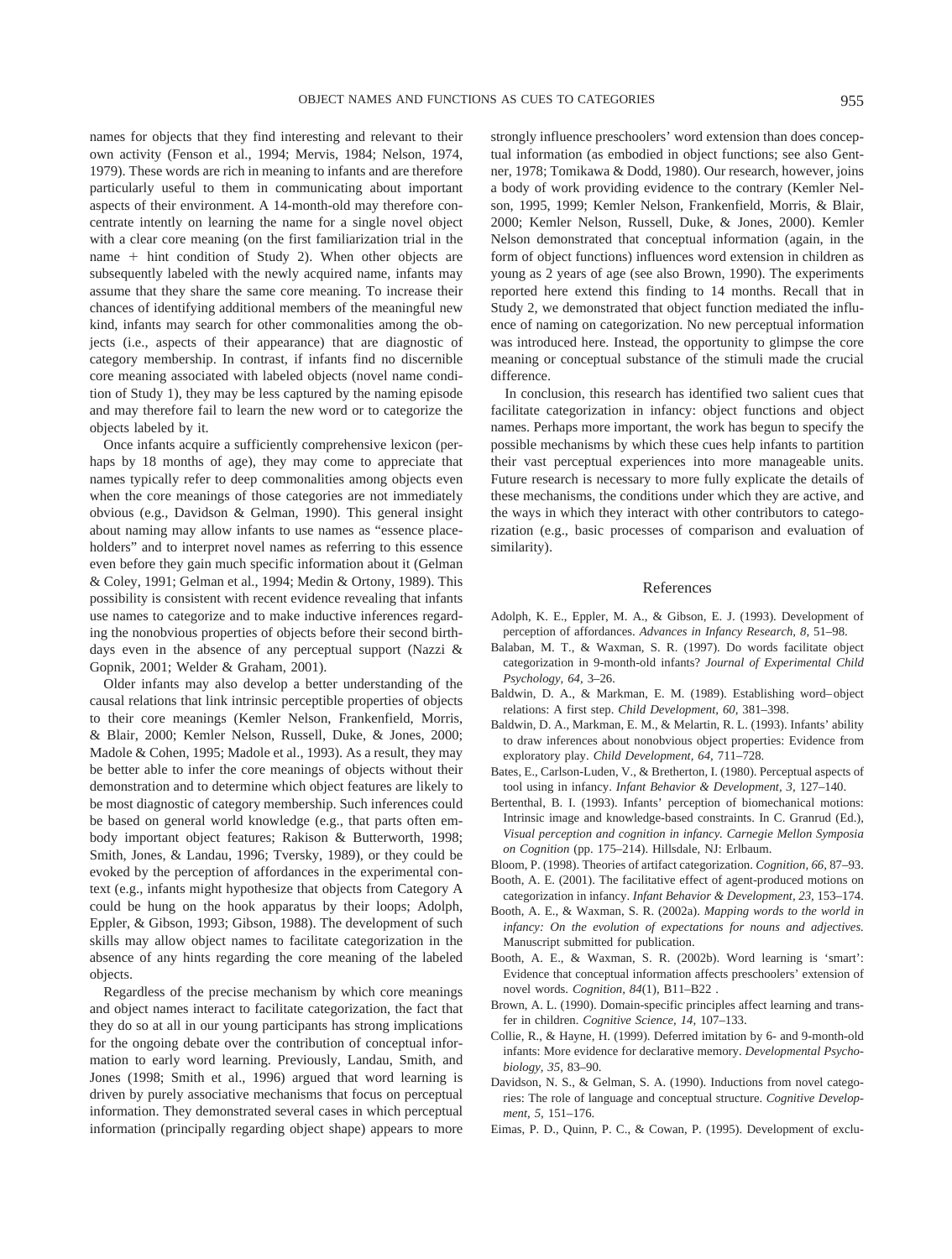names for objects that they find interesting and relevant to their own activity (Fenson et al., 1994; Mervis, 1984; Nelson, 1974, 1979). These words are rich in meaning to infants and are therefore particularly useful to them in communicating about important aspects of their environment. A 14-month-old may therefore concentrate intently on learning the name for a single novel object with a clear core meaning (on the first familiarization trial in the name  $+$  hint condition of Study 2). When other objects are subsequently labeled with the newly acquired name, infants may assume that they share the same core meaning. To increase their chances of identifying additional members of the meaningful new kind, infants may search for other commonalities among the objects (i.e., aspects of their appearance) that are diagnostic of category membership. In contrast, if infants find no discernible core meaning associated with labeled objects (novel name condition of Study 1), they may be less captured by the naming episode and may therefore fail to learn the new word or to categorize the objects labeled by it.

Once infants acquire a sufficiently comprehensive lexicon (perhaps by 18 months of age), they may come to appreciate that names typically refer to deep commonalities among objects even when the core meanings of those categories are not immediately obvious (e.g., Davidson & Gelman, 1990). This general insight about naming may allow infants to use names as "essence placeholders" and to interpret novel names as referring to this essence even before they gain much specific information about it (Gelman & Coley, 1991; Gelman et al., 1994; Medin & Ortony, 1989). This possibility is consistent with recent evidence revealing that infants use names to categorize and to make inductive inferences regarding the nonobvious properties of objects before their second birthdays even in the absence of any perceptual support (Nazzi & Gopnik, 2001; Welder & Graham, 2001).

Older infants may also develop a better understanding of the causal relations that link intrinsic perceptible properties of objects to their core meanings (Kemler Nelson, Frankenfield, Morris, & Blair, 2000; Kemler Nelson, Russell, Duke, & Jones, 2000; Madole & Cohen, 1995; Madole et al., 1993). As a result, they may be better able to infer the core meanings of objects without their demonstration and to determine which object features are likely to be most diagnostic of category membership. Such inferences could be based on general world knowledge (e.g., that parts often embody important object features; Rakison & Butterworth, 1998; Smith, Jones, & Landau, 1996; Tversky, 1989), or they could be evoked by the perception of affordances in the experimental context (e.g., infants might hypothesize that objects from Category A could be hung on the hook apparatus by their loops; Adolph, Eppler, & Gibson, 1993; Gibson, 1988). The development of such skills may allow object names to facilitate categorization in the absence of any hints regarding the core meaning of the labeled objects.

Regardless of the precise mechanism by which core meanings and object names interact to facilitate categorization, the fact that they do so at all in our young participants has strong implications for the ongoing debate over the contribution of conceptual information to early word learning. Previously, Landau, Smith, and Jones (1998; Smith et al., 1996) argued that word learning is driven by purely associative mechanisms that focus on perceptual information. They demonstrated several cases in which perceptual information (principally regarding object shape) appears to more strongly influence preschoolers' word extension than does conceptual information (as embodied in object functions; see also Gentner, 1978; Tomikawa & Dodd, 1980). Our research, however, joins a body of work providing evidence to the contrary (Kemler Nelson, 1995, 1999; Kemler Nelson, Frankenfield, Morris, & Blair, 2000; Kemler Nelson, Russell, Duke, & Jones, 2000). Kemler Nelson demonstrated that conceptual information (again, in the form of object functions) influences word extension in children as young as 2 years of age (see also Brown, 1990). The experiments reported here extend this finding to 14 months. Recall that in Study 2, we demonstrated that object function mediated the influence of naming on categorization. No new perceptual information was introduced here. Instead, the opportunity to glimpse the core meaning or conceptual substance of the stimuli made the crucial difference.

In conclusion, this research has identified two salient cues that facilitate categorization in infancy: object functions and object names. Perhaps more important, the work has begun to specify the possible mechanisms by which these cues help infants to partition their vast perceptual experiences into more manageable units. Future research is necessary to more fully explicate the details of these mechanisms, the conditions under which they are active, and the ways in which they interact with other contributors to categorization (e.g., basic processes of comparison and evaluation of similarity).

# References

- Adolph, K. E., Eppler, M. A., & Gibson, E. J. (1993). Development of perception of affordances. *Advances in Infancy Research, 8,* 51–98.
- Balaban, M. T., & Waxman, S. R. (1997). Do words facilitate object categorization in 9-month-old infants? *Journal of Experimental Child Psychology, 64,* 3–26.
- Baldwin, D. A., & Markman, E. M. (1989). Establishing word–object relations: A first step. *Child Development, 60,* 381–398.
- Baldwin, D. A., Markman, E. M., & Melartin, R. L. (1993). Infants' ability to draw inferences about nonobvious object properties: Evidence from exploratory play. *Child Development, 64,* 711–728.
- Bates, E., Carlson-Luden, V., & Bretherton, I. (1980). Perceptual aspects of tool using in infancy. *Infant Behavior & Development, 3,* 127–140.
- Bertenthal, B. I. (1993). Infants' perception of biomechanical motions: Intrinsic image and knowledge-based constraints. In C. Granrud (Ed.), *Visual perception and cognition in infancy. Carnegie Mellon Symposia on Cognition* (pp. 175–214). Hillsdale, NJ: Erlbaum.
- Bloom, P. (1998). Theories of artifact categorization. *Cognition, 66,* 87–93. Booth, A. E. (2001). The facilitative effect of agent-produced motions on
- categorization in infancy. *Infant Behavior & Development, 23,* 153–174.
- Booth, A. E., & Waxman, S. R. (2002a). *Mapping words to the world in infancy: On the evolution of expectations for nouns and adjectives.* Manuscript submitted for publication.
- Booth, A. E., & Waxman, S. R. (2002b). Word learning is 'smart': Evidence that conceptual information affects preschoolers' extension of novel words. *Cognition, 84*(1), B11–B22 .
- Brown, A. L. (1990). Domain-specific principles affect learning and transfer in children. *Cognitive Science, 14,* 107–133.
- Collie, R., & Hayne, H. (1999). Deferred imitation by 6- and 9-month-old infants: More evidence for declarative memory. *Developmental Psychobiology, 35,* 83–90.
- Davidson, N. S., & Gelman, S. A. (1990). Inductions from novel categories: The role of language and conceptual structure. *Cognitive Development, 5,* 151–176.
- Eimas, P. D., Quinn, P. C., & Cowan, P. (1995). Development of exclu-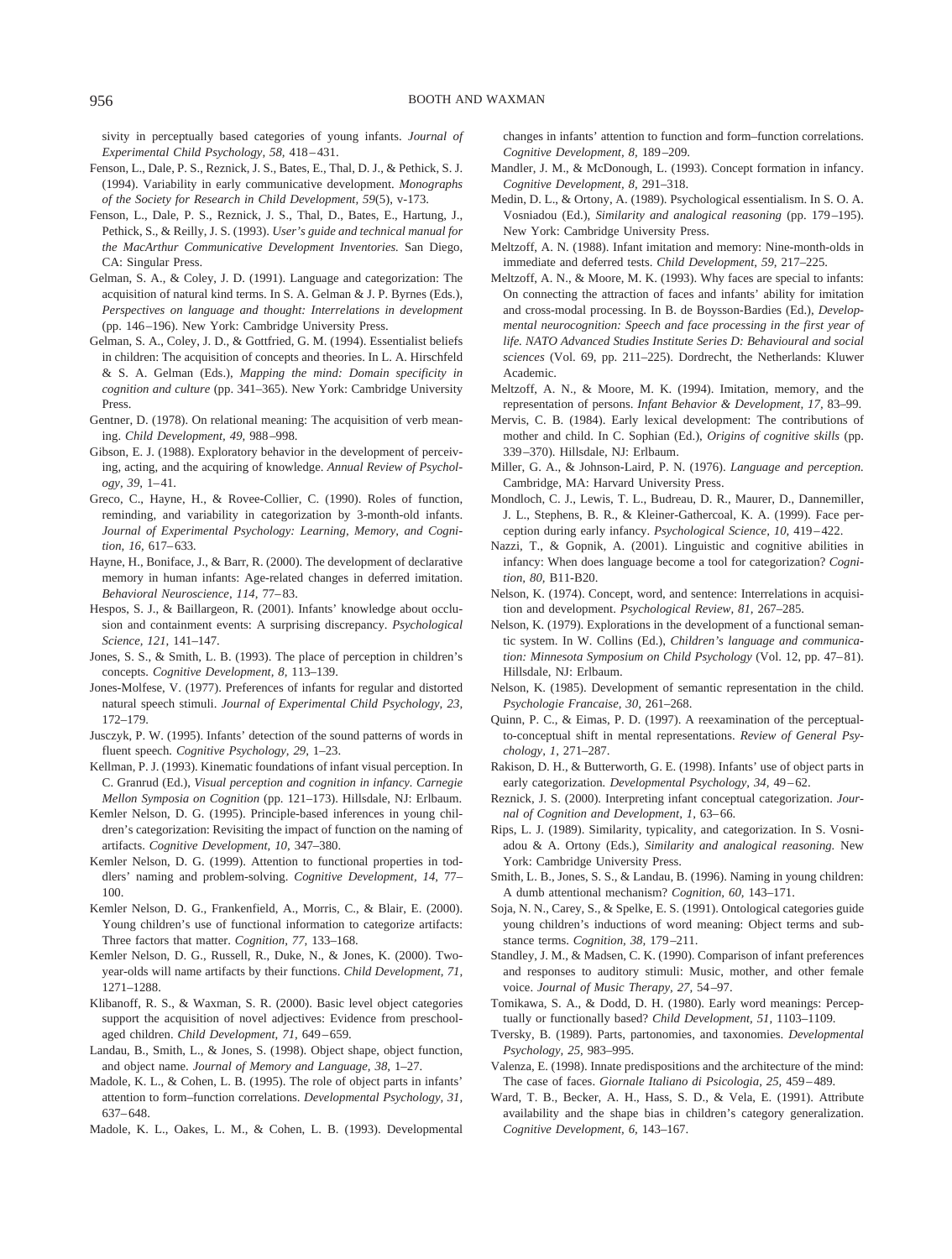sivity in perceptually based categories of young infants. *Journal of Experimental Child Psychology, 58,* 418–431.

- Fenson, L., Dale, P. S., Reznick, J. S., Bates, E., Thal, D. J., & Pethick, S. J. (1994). Variability in early communicative development. *Monographs of the Society for Research in Child Development, 59*(5), v-173.
- Fenson, L., Dale, P. S., Reznick, J. S., Thal, D., Bates, E., Hartung, J., Pethick, S., & Reilly, J. S. (1993). *User's guide and technical manual for the MacArthur Communicative Development Inventories.* San Diego, CA: Singular Press.
- Gelman, S. A., & Coley, J. D. (1991). Language and categorization: The acquisition of natural kind terms. In S. A. Gelman & J. P. Byrnes (Eds.), *Perspectives on language and thought: Interrelations in development* (pp. 146–196). New York: Cambridge University Press.
- Gelman, S. A., Coley, J. D., & Gottfried, G. M. (1994). Essentialist beliefs in children: The acquisition of concepts and theories. In L. A. Hirschfeld & S. A. Gelman (Eds.), *Mapping the mind: Domain specificity in cognition and culture* (pp. 341–365). New York: Cambridge University Press.
- Gentner, D. (1978). On relational meaning: The acquisition of verb meaning. *Child Development, 49,* 988–998.
- Gibson, E. J. (1988). Exploratory behavior in the development of perceiving, acting, and the acquiring of knowledge. *Annual Review of Psychology, 39,* 1–41.
- Greco, C., Hayne, H., & Rovee-Collier, C. (1990). Roles of function, reminding, and variability in categorization by 3-month-old infants. *Journal of Experimental Psychology: Learning, Memory, and Cognition, 16,* 617–633*.*
- Hayne, H., Boniface, J., & Barr, R. (2000). The development of declarative memory in human infants: Age-related changes in deferred imitation. *Behavioral Neuroscience, 114,* 77–83.
- Hespos, S. J., & Baillargeon, R. (2001). Infants' knowledge about occlusion and containment events: A surprising discrepancy. *Psychological Science, 121,* 141–147.
- Jones, S. S., & Smith, L. B. (1993). The place of perception in children's concepts. *Cognitive Development, 8,* 113–139.
- Jones-Molfese, V. (1977). Preferences of infants for regular and distorted natural speech stimuli. *Journal of Experimental Child Psychology, 23,* 172–179.
- Jusczyk, P. W. (1995). Infants' detection of the sound patterns of words in fluent speech. *Cognitive Psychology, 29,* 1–23.
- Kellman, P. J. (1993). Kinematic foundations of infant visual perception. In C. Granrud (Ed.), *Visual perception and cognition in infancy. Carnegie Mellon Symposia on Cognition* (pp. 121–173). Hillsdale, NJ: Erlbaum.
- Kemler Nelson, D. G. (1995). Principle-based inferences in young children's categorization: Revisiting the impact of function on the naming of artifacts. *Cognitive Development, 10,* 347–380.
- Kemler Nelson, D. G. (1999). Attention to functional properties in toddlers' naming and problem-solving. *Cognitive Development, 14,* 77– 100.
- Kemler Nelson, D. G., Frankenfield, A., Morris, C., & Blair, E. (2000). Young children's use of functional information to categorize artifacts: Three factors that matter. *Cognition, 77,* 133–168.
- Kemler Nelson, D. G., Russell, R., Duke, N., & Jones, K. (2000). Twoyear-olds will name artifacts by their functions. *Child Development, 71,* 1271–1288.
- Klibanoff, R. S., & Waxman, S. R. (2000). Basic level object categories support the acquisition of novel adjectives: Evidence from preschoolaged children. *Child Development, 71,* 649–659.
- Landau, B., Smith, L., & Jones, S. (1998). Object shape, object function, and object name. *Journal of Memory and Language, 38,* 1–27.
- Madole, K. L., & Cohen, L. B. (1995). The role of object parts in infants' attention to form–function correlations. *Developmental Psychology, 31,* 637–648.
- Madole, K. L., Oakes, L. M., & Cohen, L. B. (1993). Developmental

changes in infants' attention to function and form–function correlations. *Cognitive Development, 8,* 189–209.

- Mandler, J. M., & McDonough, L. (1993). Concept formation in infancy. *Cognitive Development, 8,* 291–318.
- Medin, D. L., & Ortony, A. (1989). Psychological essentialism. In S. O. A. Vosniadou (Ed.), *Similarity and analogical reasoning* (pp. 179–195). New York: Cambridge University Press.
- Meltzoff, A. N. (1988). Infant imitation and memory: Nine-month-olds in immediate and deferred tests. *Child Development, 59,* 217–225.
- Meltzoff, A. N., & Moore, M. K. (1993). Why faces are special to infants: On connecting the attraction of faces and infants' ability for imitation and cross-modal processing. In B. de Boysson-Bardies (Ed.), *Developmental neurocognition: Speech and face processing in the first year of life. NATO Advanced Studies Institute Series D: Behavioural and social sciences* (Vol. 69, pp. 211–225). Dordrecht, the Netherlands: Kluwer Academic.
- Meltzoff, A. N., & Moore, M. K. (1994). Imitation, memory, and the representation of persons. *Infant Behavior & Development, 17,* 83–99.
- Mervis, C. B. (1984). Early lexical development: The contributions of mother and child. In C. Sophian (Ed.), *Origins of cognitive skills* (pp. 339–370). Hillsdale, NJ: Erlbaum.
- Miller, G. A., & Johnson-Laird, P. N. (1976). *Language and perception.* Cambridge, MA: Harvard University Press.
- Mondloch, C. J., Lewis, T. L., Budreau, D. R., Maurer, D., Dannemiller, J. L., Stephens, B. R., & Kleiner-Gathercoal, K. A. (1999). Face perception during early infancy. *Psychological Science, 10,* 419–422.
- Nazzi, T., & Gopnik, A. (2001). Linguistic and cognitive abilities in infancy: When does language become a tool for categorization? *Cognition, 80,* B11-B20.
- Nelson, K. (1974). Concept, word, and sentence: Interrelations in acquisition and development. *Psychological Review, 81,* 267–285.
- Nelson, K. (1979). Explorations in the development of a functional semantic system. In W. Collins (Ed.), *Children's language and communication: Minnesota Symposium on Child Psychology* (Vol. 12, pp. 47–81). Hillsdale, NJ: Erlbaum.
- Nelson, K. (1985). Development of semantic representation in the child. *Psychologie Francaise, 30,* 261–268.
- Quinn, P. C., & Eimas, P. D. (1997). A reexamination of the perceptualto-conceptual shift in mental representations. *Review of General Psychology, 1,* 271–287.
- Rakison, D. H., & Butterworth, G. E. (1998). Infants' use of object parts in early categorization*. Developmental Psychology, 34,* 49–62.
- Reznick, J. S. (2000). Interpreting infant conceptual categorization. *Journal of Cognition and Development, 1,* 63–66.
- Rips, L. J. (1989). Similarity, typicality, and categorization. In S. Vosniadou & A. Ortony (Eds.), *Similarity and analogical reasoning.* New York: Cambridge University Press.
- Smith, L. B., Jones, S. S., & Landau, B. (1996). Naming in young children: A dumb attentional mechanism? *Cognition, 60,* 143–171.
- Soja, N. N., Carey, S., & Spelke, E. S. (1991). Ontological categories guide young children's inductions of word meaning: Object terms and substance terms. *Cognition, 38,* 179–211.
- Standley, J. M., & Madsen, C. K. (1990). Comparison of infant preferences and responses to auditory stimuli: Music, mother, and other female voice. *Journal of Music Therapy, 27,* 54–97.
- Tomikawa, S. A., & Dodd, D. H. (1980). Early word meanings: Perceptually or functionally based? *Child Development, 51,* 1103–1109.
- Tversky, B. (1989). Parts, partonomies, and taxonomies. *Developmental Psychology, 25,* 983–995.
- Valenza, E. (1998). Innate predispositions and the architecture of the mind: The case of faces. *Giornale Italiano di Psicologia, 25,* 459–489.
- Ward, T. B., Becker, A. H., Hass, S. D., & Vela, E. (1991). Attribute availability and the shape bias in children's category generalization. *Cognitive Development, 6,* 143–167.